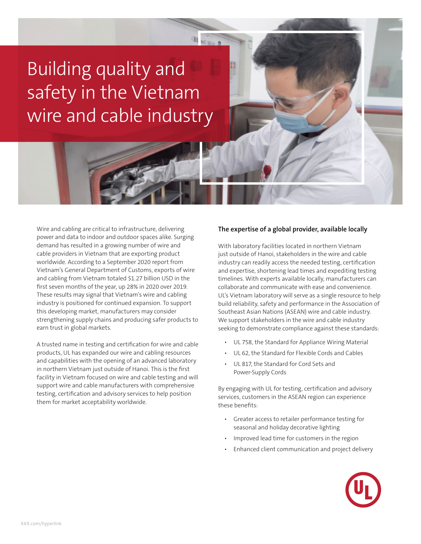# Building quality and safety in the Vietnam wire and cable industry

ž,

Wire and cabling are critical to infrastructure, delivering power and data to indoor and outdoor spaces alike. Surging demand has resulted in a growing number of wire and cable providers in Vietnam that are exporting product worldwide. According to a September 2020 report from Vietnam's General Department of Customs, exports of wire and cabling from Vietnam totaled \$1.27 billion USD in the first seven months of the year, up 28% in 2020 over 2019. These results may signal that Vietnam's wire and cabling industry is positioned for continued expansion. To support this developing market, manufacturers may consider strengthening supply chains and producing safer products to earn trust in global markets.

A trusted name in testing and certification for wire and cable products, UL has expanded our wire and cabling resources and capabilities with the opening of an advanced laboratory in northern Vietnam just outside of Hanoi. This is the first facility in Vietnam focused on wire and cable testing and will support wire and cable manufacturers with comprehensive testing, certification and advisory services to help position them for market acceptability worldwide.

#### **The expertise of a global provider, available locally**

With laboratory facilities located in northern Vietnam just outside of Hanoi, stakeholders in the wire and cable industry can readily access the needed testing, certification and expertise, shortening lead times and expediting testing timelines. With experts available locally, manufacturers can collaborate and communicate with ease and convenience. UL's Vietnam laboratory will serve as a single resource to help build reliability, safety and performance in the Association of Southeast Asian Nations (ASEAN) wire and cable industry. We support stakeholders in the wire and cable industry seeking to demonstrate compliance against these standards:

- UL 758, the Standard for Appliance Wiring Material
- UL 62, the Standard for Flexible Cords and Cables
- UL 817, the Standard for Cord Sets and Power-Supply Cords

By engaging with UL for testing, certification and advisory services, customers in the ASEAN region can experience these benefits:

- Greater access to retailer performance testing for seasonal and holiday decorative lighting
- Improved lead time for customers in the region
- Enhanced client communication and project delivery